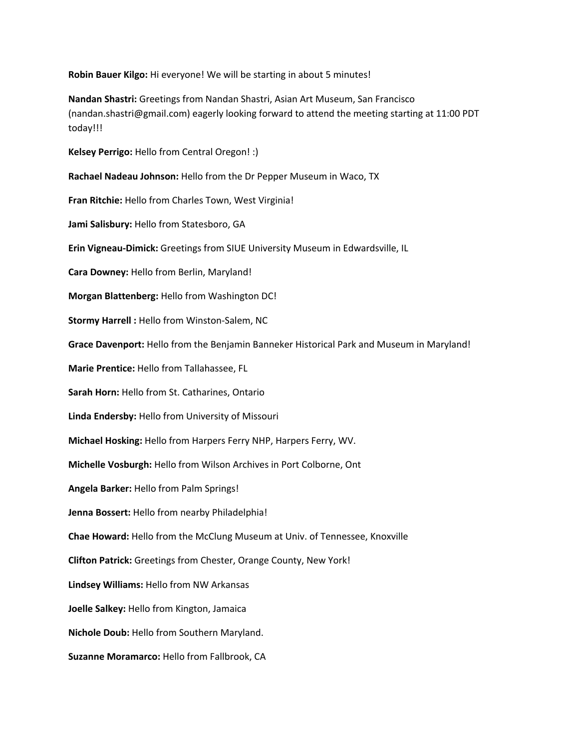**Robin Bauer Kilgo:** Hi everyone! We will be starting in about 5 minutes!

**Nandan Shastri:** Greetings from Nandan Shastri, Asian Art Museum, San Francisco (nandan.shastri@gmail.com) eagerly looking forward to attend the meeting starting at 11:00 PDT today!!!

**Kelsey Perrigo:** Hello from Central Oregon! :)

**Rachael Nadeau Johnson:** Hello from the Dr Pepper Museum in Waco, TX

**Fran Ritchie:** Hello from Charles Town, West Virginia!

**Jami Salisbury:** Hello from Statesboro, GA

**Erin Vigneau-Dimick:** Greetings from SIUE University Museum in Edwardsville, IL

**Cara Downey:** Hello from Berlin, Maryland!

**Morgan Blattenberg:** Hello from Washington DC!

**Stormy Harrell :** Hello from Winston-Salem, NC

**Grace Davenport:** Hello from the Benjamin Banneker Historical Park and Museum in Maryland!

**Marie Prentice:** Hello from Tallahassee, FL

**Sarah Horn:** Hello from St. Catharines, Ontario

**Linda Endersby:** Hello from University of Missouri

**Michael Hosking:** Hello from Harpers Ferry NHP, Harpers Ferry, WV.

**Michelle Vosburgh:** Hello from Wilson Archives in Port Colborne, Ont

**Angela Barker:** Hello from Palm Springs!

**Jenna Bossert:** Hello from nearby Philadelphia!

**Chae Howard:** Hello from the McClung Museum at Univ. of Tennessee, Knoxville

**Clifton Patrick:** Greetings from Chester, Orange County, New York!

**Lindsey Williams:** Hello from NW Arkansas

**Joelle Salkey:** Hello from Kington, Jamaica

**Nichole Doub:** Hello from Southern Maryland.

**Suzanne Moramarco:** Hello from Fallbrook, CA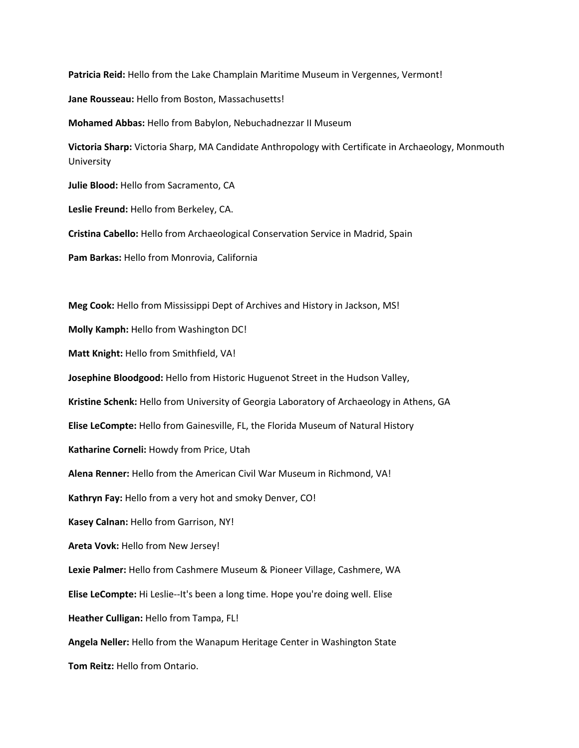**Patricia Reid:** Hello from the Lake Champlain Maritime Museum in Vergennes, Vermont!

**Jane Rousseau:** Hello from Boston, Massachusetts!

**Mohamed Abbas:** Hello from Babylon, Nebuchadnezzar II Museum

**Victoria Sharp:** Victoria Sharp, MA Candidate Anthropology with Certificate in Archaeology, Monmouth University

**Julie Blood:** Hello from Sacramento, CA

**Leslie Freund:** Hello from Berkeley, CA.

**Cristina Cabello:** Hello from Archaeological Conservation Service in Madrid, Spain

**Pam Barkas:** Hello from Monrovia, California

**Meg Cook:** Hello from Mississippi Dept of Archives and History in Jackson, MS! **Molly Kamph:** Hello from Washington DC! **Matt Knight:** Hello from Smithfield, VA! **Josephine Bloodgood:** Hello from Historic Huguenot Street in the Hudson Valley, **Kristine Schenk:** Hello from University of Georgia Laboratory of Archaeology in Athens, GA **Elise LeCompte:** Hello from Gainesville, FL, the Florida Museum of Natural History **Katharine Corneli:** Howdy from Price, Utah **Alena Renner:** Hello from the American Civil War Museum in Richmond, VA! **Kathryn Fay:** Hello from a very hot and smoky Denver, CO! **Kasey Calnan:** Hello from Garrison, NY! **Areta Vovk:** Hello from New Jersey! **Lexie Palmer:** Hello from Cashmere Museum & Pioneer Village, Cashmere, WA **Elise LeCompte:** Hi Leslie--It's been a long time. Hope you're doing well. Elise **Heather Culligan:** Hello from Tampa, FL! **Angela Neller:** Hello from the Wanapum Heritage Center in Washington State **Tom Reitz:** Hello from Ontario.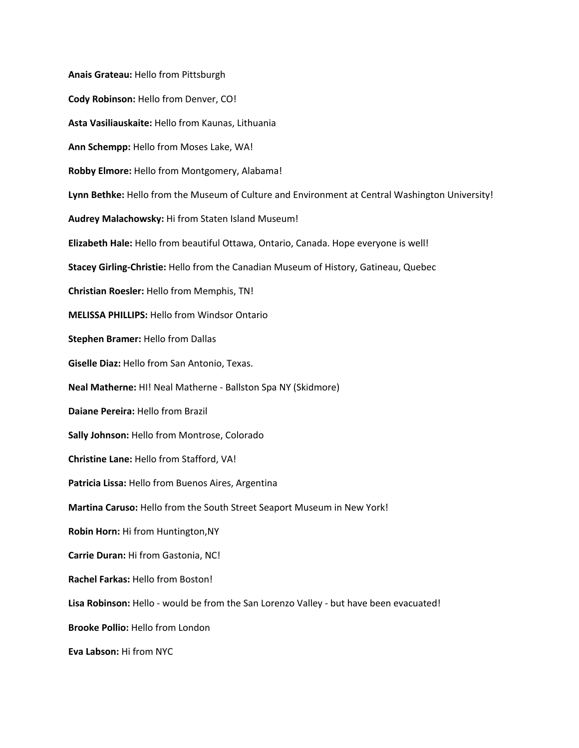**Anais Grateau:** Hello from Pittsburgh **Cody Robinson:** Hello from Denver, CO! **Asta Vasiliauskaite:** Hello from Kaunas, Lithuania **Ann Schempp:** Hello from Moses Lake, WA! **Robby Elmore:** Hello from Montgomery, Alabama! **Lynn Bethke:** Hello from the Museum of Culture and Environment at Central Washington University! **Audrey Malachowsky:** Hi from Staten Island Museum! **Elizabeth Hale:** Hello from beautiful Ottawa, Ontario, Canada. Hope everyone is well! **Stacey Girling-Christie:** Hello from the Canadian Museum of History, Gatineau, Quebec **Christian Roesler:** Hello from Memphis, TN! **MELISSA PHILLIPS:** Hello from Windsor Ontario **Stephen Bramer:** Hello from Dallas **Giselle Diaz:** Hello from San Antonio, Texas. **Neal Matherne:** HI! Neal Matherne - Ballston Spa NY (Skidmore) **Daiane Pereira:** Hello from Brazil **Sally Johnson:** Hello from Montrose, Colorado **Christine Lane:** Hello from Stafford, VA! **Patricia Lissa:** Hello from Buenos Aires, Argentina **Martina Caruso:** Hello from the South Street Seaport Museum in New York! **Robin Horn:** Hi from Huntington,NY **Carrie Duran:** Hi from Gastonia, NC! **Rachel Farkas:** Hello from Boston! **Lisa Robinson:** Hello - would be from the San Lorenzo Valley - but have been evacuated! **Brooke Pollio:** Hello from London **Eva Labson:** Hi from NYC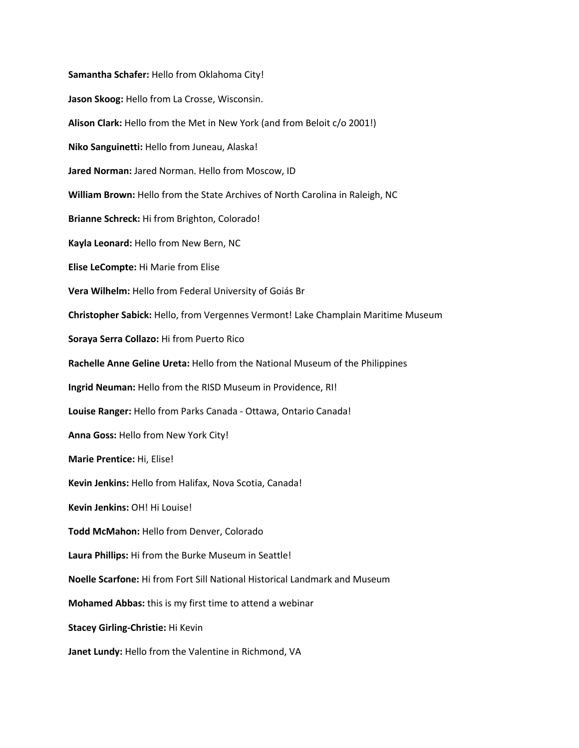**Samantha Schafer:** Hello from Oklahoma City! **Jason Skoog:** Hello from La Crosse, Wisconsin. **Alison Clark:** Hello from the Met in New York (and from Beloit c/o 2001!) **Niko Sanguinetti:** Hello from Juneau, Alaska! **Jared Norman:** Jared Norman. Hello from Moscow, ID **William Brown:** Hello from the State Archives of North Carolina in Raleigh, NC **Brianne Schreck:** Hi from Brighton, Colorado! **Kayla Leonard:** Hello from New Bern, NC **Elise LeCompte:** Hi Marie from Elise **Vera Wilhelm:** Hello from Federal University of Goiás Br **Christopher Sabick:** Hello, from Vergennes Vermont! Lake Champlain Maritime Museum **Soraya Serra Collazo:** Hi from Puerto Rico **Rachelle Anne Geline Ureta:** Hello from the National Museum of the Philippines **Ingrid Neuman:** Hello from the RISD Museum in Providence, RI! **Louise Ranger:** Hello from Parks Canada - Ottawa, Ontario Canada! **Anna Goss:** Hello from New York City! **Marie Prentice:** Hi, Elise! **Kevin Jenkins:** Hello from Halifax, Nova Scotia, Canada! **Kevin Jenkins:** OH! Hi Louise! **Todd McMahon:** Hello from Denver, Colorado **Laura Phillips:** Hi from the Burke Museum in Seattle! **Noelle Scarfone:** Hi from Fort Sill National Historical Landmark and Museum **Mohamed Abbas:** this is my first time to attend a webinar **Stacey Girling-Christie:** Hi Kevin **Janet Lundy:** Hello from the Valentine in Richmond, VA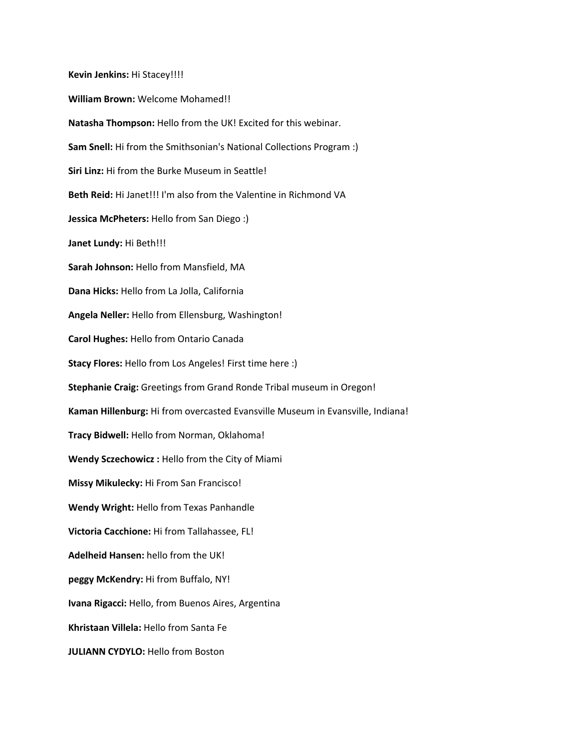**Kevin Jenkins:** Hi Stacey!!!! **William Brown:** Welcome Mohamed!! **Natasha Thompson:** Hello from the UK! Excited for this webinar. **Sam Snell:** Hi from the Smithsonian's National Collections Program :) **Siri Linz:** Hi from the Burke Museum in Seattle! **Beth Reid:** Hi Janet!!! I'm also from the Valentine in Richmond VA **Jessica McPheters:** Hello from San Diego :) **Janet Lundy:** Hi Beth!!! **Sarah Johnson:** Hello from Mansfield, MA **Dana Hicks:** Hello from La Jolla, California **Angela Neller:** Hello from Ellensburg, Washington! **Carol Hughes:** Hello from Ontario Canada **Stacy Flores:** Hello from Los Angeles! First time here :) **Stephanie Craig:** Greetings from Grand Ronde Tribal museum in Oregon! **Kaman Hillenburg:** Hi from overcasted Evansville Museum in Evansville, Indiana! **Tracy Bidwell:** Hello from Norman, Oklahoma! **Wendy Sczechowicz :** Hello from the City of Miami **Missy Mikulecky:** Hi From San Francisco! **Wendy Wright:** Hello from Texas Panhandle **Victoria Cacchione:** Hi from Tallahassee, FL! **Adelheid Hansen:** hello from the UK! **peggy McKendry:** Hi from Buffalo, NY! **Ivana Rigacci:** Hello, from Buenos Aires, Argentina **Khristaan Villela:** Hello from Santa Fe **JULIANN CYDYLO:** Hello from Boston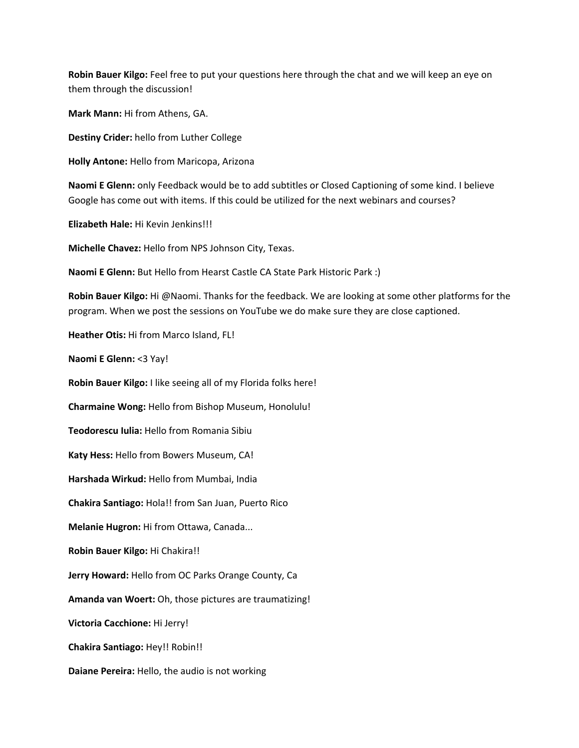**Robin Bauer Kilgo:** Feel free to put your questions here through the chat and we will keep an eye on them through the discussion!

**Mark Mann:** Hi from Athens, GA.

**Destiny Crider:** hello from Luther College

**Holly Antone:** Hello from Maricopa, Arizona

**Naomi E Glenn:** only Feedback would be to add subtitles or Closed Captioning of some kind. I believe Google has come out with items. If this could be utilized for the next webinars and courses?

**Elizabeth Hale:** Hi Kevin Jenkins!!!

**Michelle Chavez:** Hello from NPS Johnson City, Texas.

**Naomi E Glenn:** But Hello from Hearst Castle CA State Park Historic Park :)

**Robin Bauer Kilgo:** Hi @Naomi. Thanks for the feedback. We are looking at some other platforms for the program. When we post the sessions on YouTube we do make sure they are close captioned.

**Heather Otis:** Hi from Marco Island, FL!

**Naomi E Glenn:** <3 Yay!

**Robin Bauer Kilgo:** I like seeing all of my Florida folks here!

**Charmaine Wong:** Hello from Bishop Museum, Honolulu!

**Teodorescu Iulia:** Hello from Romania Sibiu

**Katy Hess:** Hello from Bowers Museum, CA!

**Harshada Wirkud:** Hello from Mumbai, India

**Chakira Santiago:** Hola!! from San Juan, Puerto Rico

**Melanie Hugron:** Hi from Ottawa, Canada...

**Robin Bauer Kilgo:** Hi Chakira!!

**Jerry Howard:** Hello from OC Parks Orange County, Ca

**Amanda van Woert:** Oh, those pictures are traumatizing!

**Victoria Cacchione:** Hi Jerry!

**Chakira Santiago:** Hey!! Robin!!

**Daiane Pereira:** Hello, the audio is not working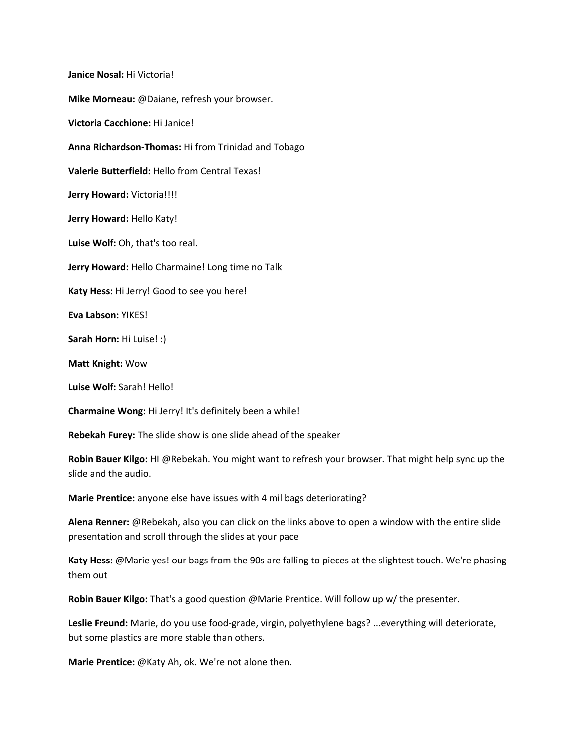**Janice Nosal:** Hi Victoria! **Mike Morneau:** @Daiane, refresh your browser. **Victoria Cacchione:** Hi Janice! **Anna Richardson-Thomas:** Hi from Trinidad and Tobago **Valerie Butterfield:** Hello from Central Texas! **Jerry Howard:** Victoria!!!! **Jerry Howard:** Hello Katy! **Luise Wolf:** Oh, that's too real. **Jerry Howard:** Hello Charmaine! Long time no Talk **Katy Hess:** Hi Jerry! Good to see you here! **Eva Labson:** YIKES! **Sarah Horn:** Hi Luise! :) **Matt Knight:** Wow **Luise Wolf:** Sarah! Hello! **Charmaine Wong:** Hi Jerry! It's definitely been a while! **Rebekah Furey:** The slide show is one slide ahead of the speaker

**Robin Bauer Kilgo:** HI @Rebekah. You might want to refresh your browser. That might help sync up the slide and the audio.

**Marie Prentice:** anyone else have issues with 4 mil bags deteriorating?

**Alena Renner:** @Rebekah, also you can click on the links above to open a window with the entire slide presentation and scroll through the slides at your pace

**Katy Hess:** @Marie yes! our bags from the 90s are falling to pieces at the slightest touch. We're phasing them out

**Robin Bauer Kilgo:** That's a good question @Marie Prentice. Will follow up w/ the presenter.

**Leslie Freund:** Marie, do you use food-grade, virgin, polyethylene bags? ...everything will deteriorate, but some plastics are more stable than others.

**Marie Prentice:** @Katy Ah, ok. We're not alone then.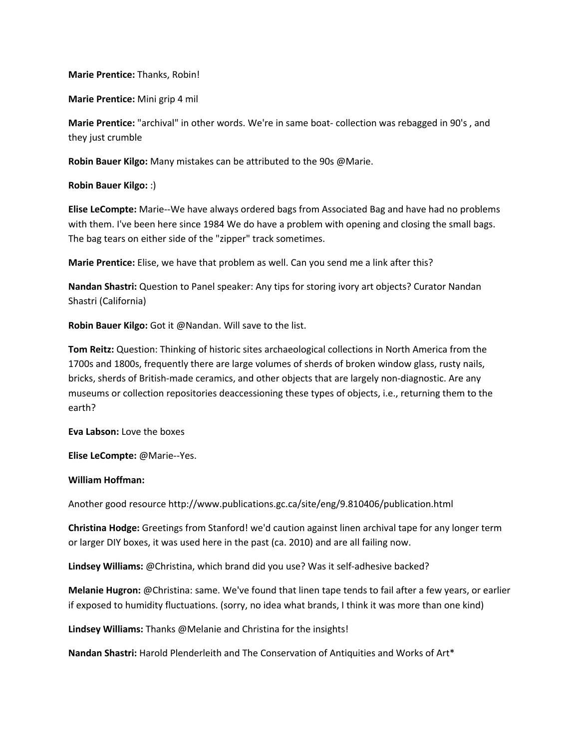## **Marie Prentice:** Thanks, Robin!

**Marie Prentice:** Mini grip 4 mil

**Marie Prentice:** "archival" in other words. We're in same boat- collection was rebagged in 90's , and they just crumble

**Robin Bauer Kilgo:** Many mistakes can be attributed to the 90s @Marie.

**Robin Bauer Kilgo:** :)

**Elise LeCompte:** Marie--We have always ordered bags from Associated Bag and have had no problems with them. I've been here since 1984 We do have a problem with opening and closing the small bags. The bag tears on either side of the "zipper" track sometimes.

**Marie Prentice:** Elise, we have that problem as well. Can you send me a link after this?

**Nandan Shastri:** Question to Panel speaker: Any tips for storing ivory art objects? Curator Nandan Shastri (California)

**Robin Bauer Kilgo:** Got it @Nandan. Will save to the list.

**Tom Reitz:** Question: Thinking of historic sites archaeological collections in North America from the 1700s and 1800s, frequently there are large volumes of sherds of broken window glass, rusty nails, bricks, sherds of British-made ceramics, and other objects that are largely non-diagnostic. Are any museums or collection repositories deaccessioning these types of objects, i.e., returning them to the earth?

**Eva Labson:** Love the boxes

**Elise LeCompte:** @Marie--Yes.

**William Hoffman:**

Another good resource http://www.publications.gc.ca/site/eng/9.810406/publication.html

**Christina Hodge:** Greetings from Stanford! we'd caution against linen archival tape for any longer term or larger DIY boxes, it was used here in the past (ca. 2010) and are all failing now.

**Lindsey Williams:** @Christina, which brand did you use? Was it self-adhesive backed?

**Melanie Hugron:** @Christina: same. We've found that linen tape tends to fail after a few years, or earlier if exposed to humidity fluctuations. (sorry, no idea what brands, I think it was more than one kind)

**Lindsey Williams:** Thanks @Melanie and Christina for the insights!

**Nandan Shastri:** Harold Plenderleith and The Conservation of Antiquities and Works of Art\*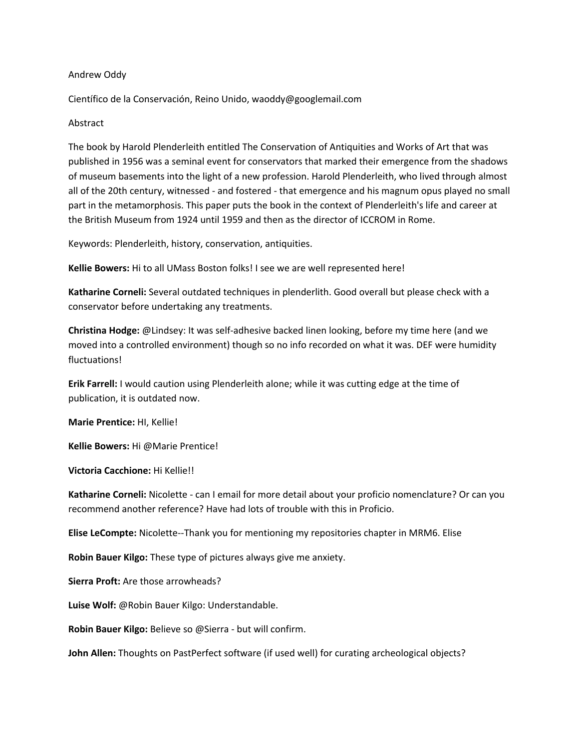## Andrew Oddy

Científico de la Conservación, Reino Unido, waoddy@googlemail.com

## **Abstract**

The book by Harold Plenderleith entitled The Conservation of Antiquities and Works of Art that was published in 1956 was a seminal event for conservators that marked their emergence from the shadows of museum basements into the light of a new profession. Harold Plenderleith, who lived through almost all of the 20th century, witnessed - and fostered - that emergence and his magnum opus played no small part in the metamorphosis. This paper puts the book in the context of Plenderleith's life and career at the British Museum from 1924 until 1959 and then as the director of ICCROM in Rome.

Keywords: Plenderleith, history, conservation, antiquities.

**Kellie Bowers:** Hi to all UMass Boston folks! I see we are well represented here!

**Katharine Corneli:** Several outdated techniques in plenderlith. Good overall but please check with a conservator before undertaking any treatments.

**Christina Hodge:** @Lindsey: It was self-adhesive backed linen looking, before my time here (and we moved into a controlled environment) though so no info recorded on what it was. DEF were humidity fluctuations!

**Erik Farrell:** I would caution using Plenderleith alone; while it was cutting edge at the time of publication, it is outdated now.

**Marie Prentice:** HI, Kellie!

**Kellie Bowers:** Hi @Marie Prentice!

**Victoria Cacchione:** Hi Kellie!!

**Katharine Corneli:** Nicolette - can I email for more detail about your proficio nomenclature? Or can you recommend another reference? Have had lots of trouble with this in Proficio.

**Elise LeCompte:** Nicolette--Thank you for mentioning my repositories chapter in MRM6. Elise

**Robin Bauer Kilgo:** These type of pictures always give me anxiety.

**Sierra Proft:** Are those arrowheads?

**Luise Wolf:** @Robin Bauer Kilgo: Understandable.

**Robin Bauer Kilgo:** Believe so @Sierra - but will confirm.

**John Allen:** Thoughts on PastPerfect software (if used well) for curating archeological objects?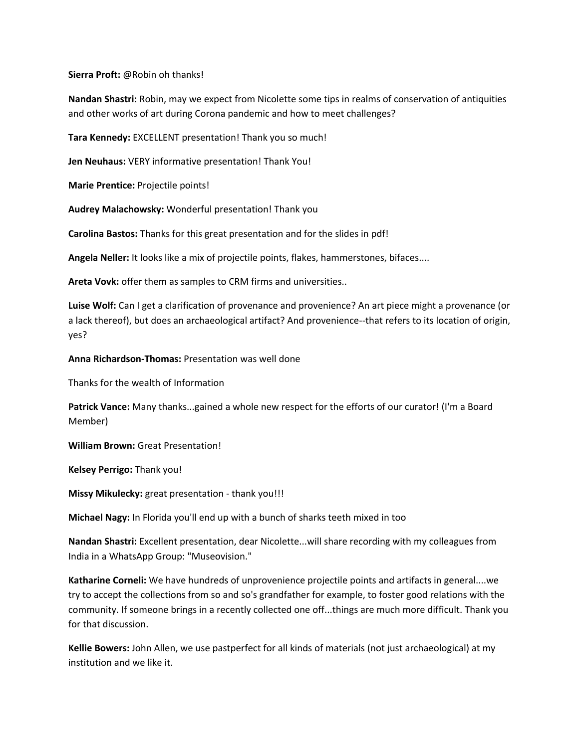**Sierra Proft:** @Robin oh thanks!

**Nandan Shastri:** Robin, may we expect from Nicolette some tips in realms of conservation of antiquities and other works of art during Corona pandemic and how to meet challenges?

**Tara Kennedy:** EXCELLENT presentation! Thank you so much!

**Jen Neuhaus:** VERY informative presentation! Thank You!

**Marie Prentice:** Projectile points!

**Audrey Malachowsky:** Wonderful presentation! Thank you

**Carolina Bastos:** Thanks for this great presentation and for the slides in pdf!

**Angela Neller:** It looks like a mix of projectile points, flakes, hammerstones, bifaces....

**Areta Vovk:** offer them as samples to CRM firms and universities..

**Luise Wolf:** Can I get a clarification of provenance and provenience? An art piece might a provenance (or a lack thereof), but does an archaeological artifact? And provenience--that refers to its location of origin, yes?

**Anna Richardson-Thomas:** Presentation was well done

Thanks for the wealth of Information

**Patrick Vance:** Many thanks...gained a whole new respect for the efforts of our curator! (I'm a Board Member)

**William Brown:** Great Presentation!

**Kelsey Perrigo:** Thank you!

**Missy Mikulecky:** great presentation - thank you!!!

**Michael Nagy:** In Florida you'll end up with a bunch of sharks teeth mixed in too

**Nandan Shastri:** Excellent presentation, dear Nicolette...will share recording with my colleagues from India in a WhatsApp Group: "Museovision."

**Katharine Corneli:** We have hundreds of unprovenience projectile points and artifacts in general....we try to accept the collections from so and so's grandfather for example, to foster good relations with the community. If someone brings in a recently collected one off...things are much more difficult. Thank you for that discussion.

**Kellie Bowers:** John Allen, we use pastperfect for all kinds of materials (not just archaeological) at my institution and we like it.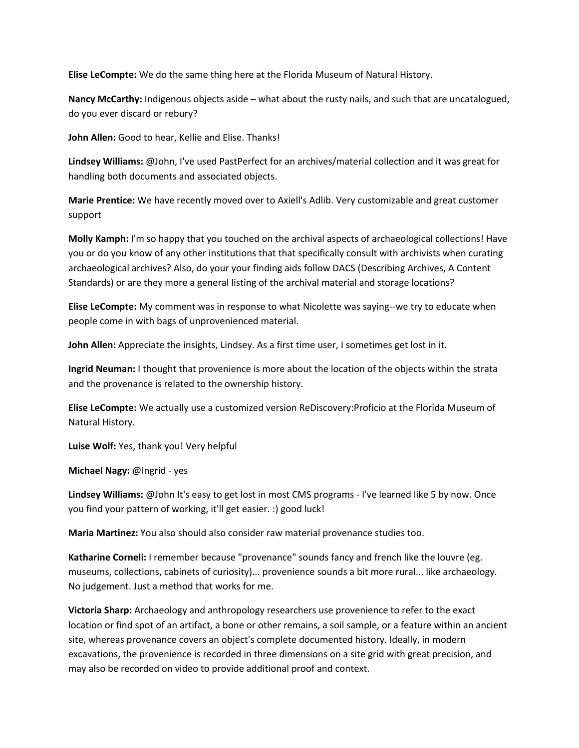**Elise LeCompte:** We do the same thing here at the Florida Museum of Natural History.

**Nancy McCarthy:** Indigenous objects aside – what about the rusty nails, and such that are uncatalogued, do you ever discard or rebury?

**John Allen:** Good to hear, Kellie and Elise. Thanks!

**Lindsey Williams:** @John, I've used PastPerfect for an archives/material collection and it was great for handling both documents and associated objects.

**Marie Prentice:** We have recently moved over to Axiell's Adlib. Very customizable and great customer support

**Molly Kamph:** I'm so happy that you touched on the archival aspects of archaeological collections! Have you or do you know of any other institutions that that specifically consult with archivists when curating archaeological archives? Also, do your your finding aids follow DACS (Describing Archives, A Content Standards) or are they more a general listing of the archival material and storage locations?

**Elise LeCompte:** My comment was in response to what Nicolette was saying--we try to educate when people come in with bags of unprovenienced material.

**John Allen:** Appreciate the insights, Lindsey. As a first time user, I sometimes get lost in it.

**Ingrid Neuman:** I thought that provenience is more about the location of the objects within the strata and the provenance is related to the ownership history.

**Elise LeCompte:** We actually use a customized version ReDiscovery:Proficio at the Florida Museum of Natural History.

**Luise Wolf:** Yes, thank you! Very helpful

**Michael Nagy:** @Ingrid - yes

**Lindsey Williams:** @John It's easy to get lost in most CMS programs - I've learned like 5 by now. Once you find your pattern of working, it'll get easier. :) good luck!

**Maria Martinez:** You also should also consider raw material provenance studies too.

**Katharine Corneli:** I remember because "provenance" sounds fancy and french like the louvre (eg. museums, collections, cabinets of curiosity)... provenience sounds a bit more rural... like archaeology. No judgement. Just a method that works for me.

**Victoria Sharp:** Archaeology and anthropology researchers use provenience to refer to the exact location or find spot of an artifact, a bone or other remains, a soil sample, or a feature within an ancient site, whereas provenance covers an object's complete documented history. Ideally, in modern excavations, the provenience is recorded in three dimensions on a site grid with great precision, and may also be recorded on video to provide additional proof and context.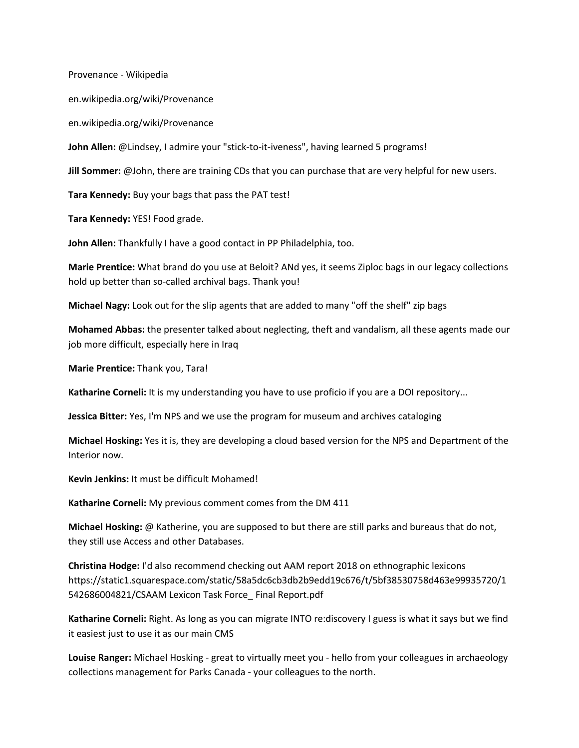Provenance - Wikipedia

en.wikipedia.org/wiki/Provenance

en.wikipedia.org/wiki/Provenance

**John Allen:** @Lindsey, I admire your "stick-to-it-iveness", having learned 5 programs!

**Jill Sommer:** @John, there are training CDs that you can purchase that are very helpful for new users.

**Tara Kennedy:** Buy your bags that pass the PAT test!

**Tara Kennedy:** YES! Food grade.

**John Allen:** Thankfully I have a good contact in PP Philadelphia, too.

**Marie Prentice:** What brand do you use at Beloit? ANd yes, it seems Ziploc bags in our legacy collections hold up better than so-called archival bags. Thank you!

**Michael Nagy:** Look out for the slip agents that are added to many "off the shelf" zip bags

**Mohamed Abbas:** the presenter talked about neglecting, theft and vandalism, all these agents made our job more difficult, especially here in Iraq

**Marie Prentice:** Thank you, Tara!

**Katharine Corneli:** It is my understanding you have to use proficio if you are a DOI repository...

**Jessica Bitter:** Yes, I'm NPS and we use the program for museum and archives cataloging

**Michael Hosking:** Yes it is, they are developing a cloud based version for the NPS and Department of the Interior now.

**Kevin Jenkins:** It must be difficult Mohamed!

**Katharine Corneli:** My previous comment comes from the DM 411

**Michael Hosking:** @ Katherine, you are supposed to but there are still parks and bureaus that do not, they still use Access and other Databases.

**Christina Hodge:** I'd also recommend checking out AAM report 2018 on ethnographic lexicons https://static1.squarespace.com/static/58a5dc6cb3db2b9edd19c676/t/5bf38530758d463e99935720/1 542686004821/CSAAM Lexicon Task Force\_ Final Report.pdf

**Katharine Corneli:** Right. As long as you can migrate INTO re:discovery I guess is what it says but we find it easiest just to use it as our main CMS

**Louise Ranger:** Michael Hosking - great to virtually meet you - hello from your colleagues in archaeology collections management for Parks Canada - your colleagues to the north.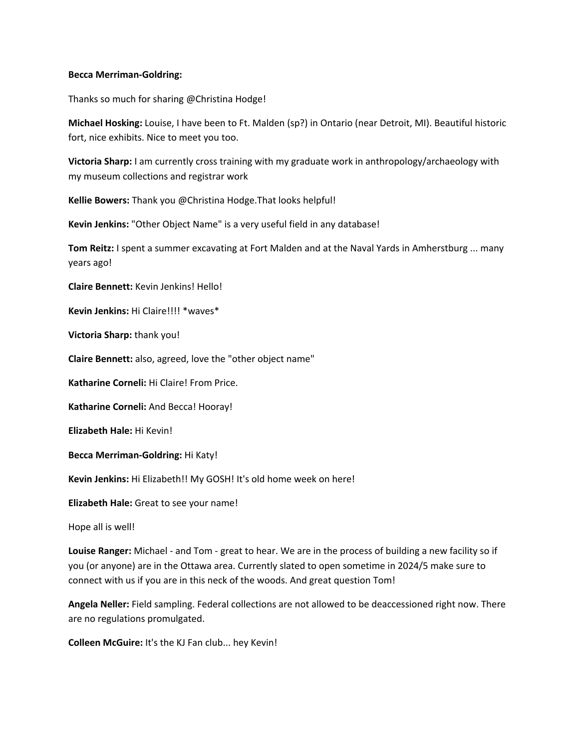## **Becca Merriman-Goldring:**

Thanks so much for sharing @Christina Hodge!

**Michael Hosking:** Louise, I have been to Ft. Malden (sp?) in Ontario (near Detroit, MI). Beautiful historic fort, nice exhibits. Nice to meet you too.

**Victoria Sharp:** I am currently cross training with my graduate work in anthropology/archaeology with my museum collections and registrar work

**Kellie Bowers:** Thank you @Christina Hodge.That looks helpful!

**Kevin Jenkins:** "Other Object Name" is a very useful field in any database!

**Tom Reitz:** I spent a summer excavating at Fort Malden and at the Naval Yards in Amherstburg ... many years ago!

**Claire Bennett:** Kevin Jenkins! Hello!

**Kevin Jenkins:** Hi Claire!!!! \*waves\*

**Victoria Sharp:** thank you!

**Claire Bennett:** also, agreed, love the "other object name"

**Katharine Corneli:** Hi Claire! From Price.

**Katharine Corneli:** And Becca! Hooray!

**Elizabeth Hale:** Hi Kevin!

**Becca Merriman-Goldring:** Hi Katy!

**Kevin Jenkins:** Hi Elizabeth!! My GOSH! It's old home week on here!

**Elizabeth Hale:** Great to see your name!

Hope all is well!

**Louise Ranger:** Michael - and Tom - great to hear. We are in the process of building a new facility so if you (or anyone) are in the Ottawa area. Currently slated to open sometime in 2024/5 make sure to connect with us if you are in this neck of the woods. And great question Tom!

**Angela Neller:** Field sampling. Federal collections are not allowed to be deaccessioned right now. There are no regulations promulgated.

**Colleen McGuire:** It's the KJ Fan club... hey Kevin!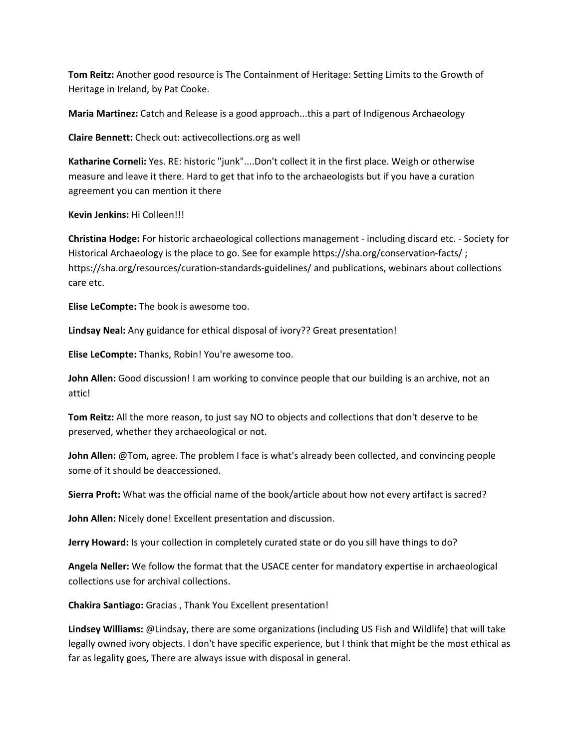**Tom Reitz:** Another good resource is The Containment of Heritage: Setting Limits to the Growth of Heritage in Ireland, by Pat Cooke.

**Maria Martinez:** Catch and Release is a good approach...this a part of Indigenous Archaeology

**Claire Bennett:** Check out: activecollections.org as well

**Katharine Corneli:** Yes. RE: historic "junk"....Don't collect it in the first place. Weigh or otherwise measure and leave it there. Hard to get that info to the archaeologists but if you have a curation agreement you can mention it there

**Kevin Jenkins:** Hi Colleen!!!

**Christina Hodge:** For historic archaeological collections management - including discard etc. - Society for Historical Archaeology is the place to go. See for example https://sha.org/conservation-facts/ ; https://sha.org/resources/curation-standards-guidelines/ and publications, webinars about collections care etc.

**Elise LeCompte:** The book is awesome too.

**Lindsay Neal:** Any guidance for ethical disposal of ivory?? Great presentation!

**Elise LeCompte:** Thanks, Robin! You're awesome too.

**John Allen:** Good discussion! I am working to convince people that our building is an archive, not an attic!

**Tom Reitz:** All the more reason, to just say NO to objects and collections that don't deserve to be preserved, whether they archaeological or not.

**John Allen:** @Tom, agree. The problem I face is what's already been collected, and convincing people some of it should be deaccessioned.

**Sierra Proft:** What was the official name of the book/article about how not every artifact is sacred?

**John Allen:** Nicely done! Excellent presentation and discussion.

**Jerry Howard:** Is your collection in completely curated state or do you sill have things to do?

**Angela Neller:** We follow the format that the USACE center for mandatory expertise in archaeological collections use for archival collections.

**Chakira Santiago:** Gracias , Thank You Excellent presentation!

**Lindsey Williams:** @Lindsay, there are some organizations (including US Fish and Wildlife) that will take legally owned ivory objects. I don't have specific experience, but I think that might be the most ethical as far as legality goes, There are always issue with disposal in general.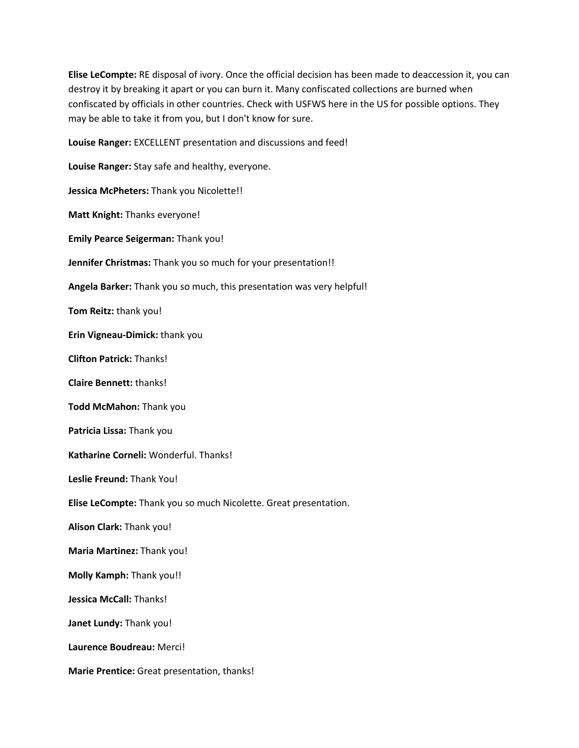**Elise LeCompte:** RE disposal of ivory. Once the official decision has been made to deaccession it, you can destroy it by breaking it apart or you can burn it. Many confiscated collections are burned when confiscated by officials in other countries. Check with USFWS here in the US for possible options. They may be able to take it from you, but I don't know for sure.

**Louise Ranger:** EXCELLENT presentation and discussions and feed!

**Louise Ranger:** Stay safe and healthy, everyone. **Jessica McPheters:** Thank you Nicolette!! **Matt Knight:** Thanks everyone! **Emily Pearce Seigerman:** Thank you! **Jennifer Christmas:** Thank you so much for your presentation!! **Angela Barker:** Thank you so much, this presentation was very helpful! **Tom Reitz:** thank you! **Erin Vigneau-Dimick:** thank you **Clifton Patrick:** Thanks! **Claire Bennett:** thanks! **Todd McMahon:** Thank you **Patricia Lissa:** Thank you **Katharine Corneli:** Wonderful. Thanks! **Leslie Freund:** Thank You! **Elise LeCompte:** Thank you so much Nicolette. Great presentation. **Alison Clark:** Thank you! **Maria Martinez:** Thank you! **Molly Kamph:** Thank you!! **Jessica McCall:** Thanks! **Janet Lundy:** Thank you! **Laurence Boudreau:** Merci! **Marie Prentice:** Great presentation, thanks!